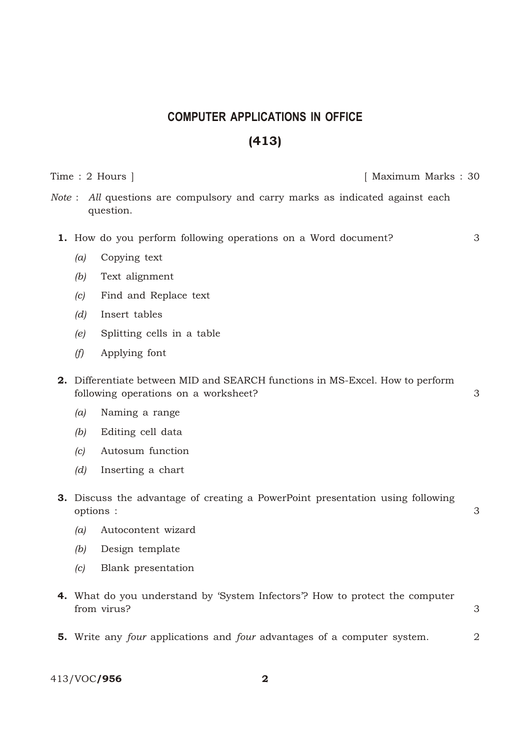## **COMPUTER APPLICATIONS IN OFFICE** (413)

Time : 2 Hours ] [ Maximum Marks : 30

*Note*: *All* questions are compulsory and carry marks as indicated against each question.

- 1. How do you perform following operations on a Word document? 3
	- *(a)* Copying text
	- *(b)* Text alignment
	- *(c)* Find and Replace text
	- *(d)* Insert tables
	- *(e)* Splitting cells in a table
	- *(f)* Applying font
- 2. Differentiate between MID and SEARCH functions in MS-Excel. How to perform following operations on a worksheet? 3
	- *(a)* Naming a range
	- *(b)* Editing cell data
	- *(c)* Autosum function
	- *(d)* Inserting a chart
- 3. Discuss the advantage of creating a PowerPoint presentation using following options : 3
	- *(a)* Autocontent wizard
	- *(b)* Design template
	- *(c)* Blank presentation
- 4. What do you understand by 'System Infectors'? How to protect the computer from virus?
- 5. Write any *four* applications and *four* advantages of a computer system. 2

413/VOC/956 2